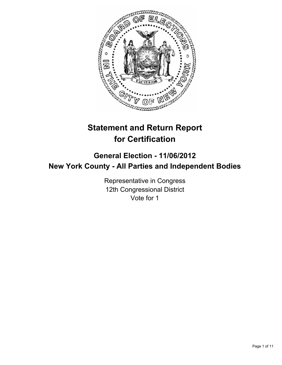

# **Statement and Return Report for Certification**

# **General Election - 11/06/2012 New York County - All Parties and Independent Bodies**

Representative in Congress 12th Congressional District Vote for 1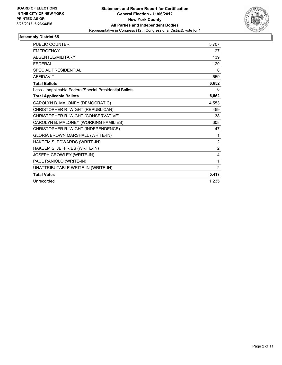

| <b>PUBLIC COUNTER</b>                                    | 5,707          |
|----------------------------------------------------------|----------------|
| <b>EMERGENCY</b>                                         | 27             |
| <b>ABSENTEE/MILITARY</b>                                 | 139            |
| <b>FEDERAL</b>                                           | 120            |
| SPECIAL PRESIDENTIAL                                     | $\Omega$       |
| <b>AFFIDAVIT</b>                                         | 659            |
| <b>Total Ballots</b>                                     | 6,652          |
| Less - Inapplicable Federal/Special Presidential Ballots | 0              |
| <b>Total Applicable Ballots</b>                          | 6,652          |
| CAROLYN B. MALONEY (DEMOCRATIC)                          | 4,553          |
| CHRISTOPHER R. WIGHT (REPUBLICAN)                        | 459            |
| CHRISTOPHER R. WIGHT (CONSERVATIVE)                      | 38             |
| CAROLYN B. MALONEY (WORKING FAMILIES)                    | 308            |
| CHRISTOPHER R. WIGHT (INDEPENDENCE)                      | 47             |
| GLORIA BROWN MARSHALL (WRITE-IN)                         | 1              |
| HAKEEM S. EDWARDS (WRITE-IN)                             | $\overline{2}$ |
| HAKEEM S. JEFFRIES (WRITE-IN)                            | $\overline{2}$ |
| JOSEPH CROWLEY (WRITE-IN)                                | 4              |
| PAUL RANIOLO (WRITE-IN)                                  | 1              |
| UNATTRIBUTABLE WRITE-IN (WRITE-IN)                       | 2              |
| <b>Total Votes</b>                                       | 5,417          |
| Unrecorded                                               | 1.235          |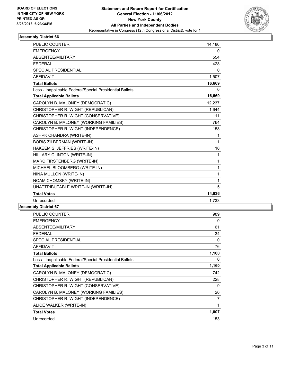

| <b>PUBLIC COUNTER</b>                                    | 14,180   |
|----------------------------------------------------------|----------|
| <b>EMERGENCY</b>                                         | 0        |
| ABSENTEE/MILITARY                                        | 554      |
| <b>FEDERAL</b>                                           | 428      |
| <b>SPECIAL PRESIDENTIAL</b>                              | $\Omega$ |
| <b>AFFIDAVIT</b>                                         | 1,507    |
| <b>Total Ballots</b>                                     | 16,669   |
| Less - Inapplicable Federal/Special Presidential Ballots | 0        |
| <b>Total Applicable Ballots</b>                          | 16,669   |
| CAROLYN B. MALONEY (DEMOCRATIC)                          | 12,237   |
| CHRISTOPHER R. WIGHT (REPUBLICAN)                        | 1,644    |
| CHRISTOPHER R. WIGHT (CONSERVATIVE)                      | 111      |
| CAROLYN B. MALONEY (WORKING FAMILIES)                    | 764      |
| CHRISTOPHER R. WIGHT (INDEPENDENCE)                      | 158      |
| <b>ASHPK CHANDRA (WRITE-IN)</b>                          | 1        |
| <b>BORIS ZILBERMAN (WRITE-IN)</b>                        | 1        |
| HAKEEM S. JEFFRIES (WRITE-IN)                            | 10       |
| HILLARY CLINTON (WRITE-IN)                               | 1        |
| MARC FIRSTENBERG (WRITE-IN)                              | 1        |
| MICHAEL BLOOMBERG (WRITE-IN)                             | 1        |
| NINA MULLON (WRITE-IN)                                   | 1        |
| NOAM CHOMSKY (WRITE-IN)                                  | 1        |
| UNATTRIBUTABLE WRITE-IN (WRITE-IN)                       | 5        |
| <b>Total Votes</b>                                       | 14,936   |
| Unrecorded                                               | 1,733    |

| <b>PUBLIC COUNTER</b>                                    | 989   |
|----------------------------------------------------------|-------|
| <b>EMERGENCY</b>                                         | 0     |
| ABSENTEE/MILITARY                                        | 61    |
| <b>FEDERAL</b>                                           | 34    |
| <b>SPECIAL PRESIDENTIAL</b>                              | 0     |
| <b>AFFIDAVIT</b>                                         | 76    |
| <b>Total Ballots</b>                                     | 1,160 |
| Less - Inapplicable Federal/Special Presidential Ballots | 0     |
| <b>Total Applicable Ballots</b>                          | 1,160 |
| CAROLYN B. MALONEY (DEMOCRATIC)                          | 742   |
| CHRISTOPHER R. WIGHT (REPUBLICAN)                        | 228   |
| CHRISTOPHER R. WIGHT (CONSERVATIVE)                      | 9     |
| CAROLYN B. MALONEY (WORKING FAMILIES)                    | 20    |
| CHRISTOPHER R. WIGHT (INDEPENDENCE)                      | 7     |
| ALICE WALKER (WRITE-IN)                                  | 1     |
| <b>Total Votes</b>                                       | 1,007 |
| Unrecorded                                               | 153   |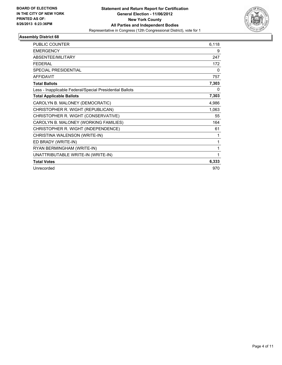

| <b>PUBLIC COUNTER</b>                                    | 6,118 |
|----------------------------------------------------------|-------|
| <b>EMERGENCY</b>                                         | 9     |
| ABSENTEE/MILITARY                                        | 247   |
| <b>FEDERAL</b>                                           | 172   |
| SPECIAL PRESIDENTIAL                                     | 0     |
| <b>AFFIDAVIT</b>                                         | 757   |
| <b>Total Ballots</b>                                     | 7,303 |
| Less - Inapplicable Federal/Special Presidential Ballots | 0     |
| <b>Total Applicable Ballots</b>                          | 7,303 |
| CAROLYN B. MALONEY (DEMOCRATIC)                          | 4,986 |
| CHRISTOPHER R. WIGHT (REPUBLICAN)                        | 1,063 |
| CHRISTOPHER R. WIGHT (CONSERVATIVE)                      | 55    |
| CAROLYN B. MALONEY (WORKING FAMILIES)                    | 164   |
| CHRISTOPHER R. WIGHT (INDEPENDENCE)                      | 61    |
| CHRISTINA WALENSON (WRITE-IN)                            | 1     |
| ED BRADY (WRITE-IN)                                      | 1     |
| RYAN BERMINGHAM (WRITE-IN)                               | 1     |
| UNATTRIBUTABLE WRITE-IN (WRITE-IN)                       | 1     |
| <b>Total Votes</b>                                       | 6,333 |
| Unrecorded                                               | 970   |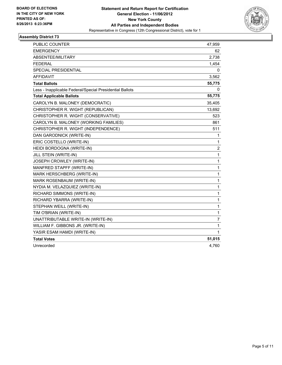

| <b>PUBLIC COUNTER</b>                                    | 47,959         |
|----------------------------------------------------------|----------------|
| <b>EMERGENCY</b>                                         | 62             |
| <b>ABSENTEE/MILITARY</b>                                 | 2,738          |
| <b>FEDERAL</b>                                           | 1,454          |
| SPECIAL PRESIDENTIAL                                     | 0              |
| AFFIDAVIT                                                | 3,562          |
| <b>Total Ballots</b>                                     | 55,775         |
| Less - Inapplicable Federal/Special Presidential Ballots | 0              |
| <b>Total Applicable Ballots</b>                          | 55,775         |
| CAROLYN B. MALONEY (DEMOCRATIC)                          | 35,405         |
| CHRISTOPHER R. WIGHT (REPUBLICAN)                        | 13,692         |
| CHRISTOPHER R. WIGHT (CONSERVATIVE)                      | 523            |
| CAROLYN B. MALONEY (WORKING FAMILIES)                    | 861            |
| CHRISTOPHER R. WIGHT (INDEPENDENCE)                      | 511            |
| DAN GARODNICK (WRITE-IN)                                 | 1              |
| ERIC COSTELLO (WRITE-IN)                                 | $\mathbf{1}$   |
| HEIDI BORDOGNA (WRITE-IN)                                | 2              |
| JILL STEIN (WRITE-IN)                                    | $\mathbf{1}$   |
| JOSEPH CROWLEY (WRITE-IN)                                | $\mathbf{1}$   |
| MANFRED STAPFF (WRITE-IN)                                | 1              |
| MARK HERSCHBERG (WRITE-IN)                               | 1              |
| MARK ROSENBAUM (WRITE-IN)                                | $\mathbf 1$    |
| NYDIA M. VELAZQUIEZ (WRITE-IN)                           | 1              |
| RICHARD SIMMONS (WRITE-IN)                               | $\mathbf{1}$   |
| RICHARD YBARRA (WRITE-IN)                                | 1              |
| STEPHAN WEILL (WRITE-IN)                                 | 1              |
| TIM O'BRIAN (WRITE-IN)                                   | $\mathbf{1}$   |
| UNATTRIBUTABLE WRITE-IN (WRITE-IN)                       | $\overline{7}$ |
| WILLIAM F. GIBBONS JR. (WRITE-IN)                        | 1              |
| YASIR ESAM HAMDI (WRITE-IN)                              | 1              |
| <b>Total Votes</b>                                       | 51,015         |
| Unrecorded                                               | 4,760          |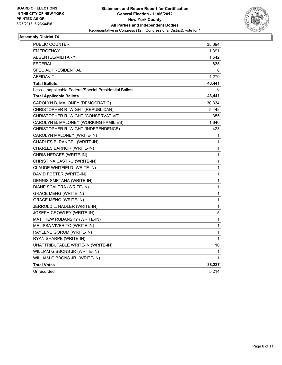

| <b>PUBLIC COUNTER</b>                                    | 35,394 |
|----------------------------------------------------------|--------|
| <b>EMERGENCY</b>                                         | 1,391  |
| ABSENTEE/MILITARY                                        | 1,542  |
| <b>FEDERAL</b>                                           | 835    |
| <b>SPECIAL PRESIDENTIAL</b>                              | 0      |
| <b>AFFIDAVIT</b>                                         | 4,279  |
| <b>Total Ballots</b>                                     | 43,441 |
| Less - Inapplicable Federal/Special Presidential Ballots | 0      |
| <b>Total Applicable Ballots</b>                          | 43,441 |
| CAROLYN B. MALONEY (DEMOCRATIC)                          | 30,334 |
| CHRISTOPHER R. WIGHT (REPUBLICAN)                        | 5,442  |
| CHRISTOPHER R. WIGHT (CONSERVATIVE)                      | 355    |
| CAROLYN B. MALONEY (WORKING FAMILIES)                    | 1,640  |
| CHRISTOPHER R. WIGHT (INDEPENDENCE)                      | 423    |
| CAROLYN MALONEY (WRITE-IN)                               | 1      |
| CHARLES B. RANGEL (WRITE-IN)                             | 1      |
| CHARLES BARNOR (WRITE-IN)                                | 1      |
| CHRIS HEDGES (WRITE-IN)                                  | 1      |
| CHRISTINA CASTRO (WRITE-IN)                              | 1      |
| CLAUDE WHITFIELD (WRITE-IN)                              | 1      |
| DAVID FOSTER (WRITE-IN)                                  | 1      |
| DENNIS SMETANA (WRITE-IN)                                | 1      |
| DIANE SCALERA (WRITE-IN)                                 | 1      |
| <b>GRACE MENG (WRITE-IN)</b>                             | 1      |
| GRACE MENO (WRITE-IN)                                    | 1      |
| JERROLD L. NADLER (WRITE-IN)                             | 1      |
| JOSEPH CROWLEY (WRITE-IN)                                | 5      |
| MATTHEW RUDANSKY (WRITE-IN)                              | 1      |
| MELISSA VIVERITO (WRITE-IN)                              | 1      |
| RAYLENE GORUM (WRITE-IN)                                 | 1      |
| RYAN SHARPE (WRITE-IN)                                   | 1      |
| UNATTRIBUTABLE WRITE-IN (WRITE-IN)                       | 10     |
| WILLIAM GIBBONS JR (WRITE-IN)                            | 1      |
| WILLIAM GIBBONS JR. (WRITE-IN)                           | 1      |
| <b>Total Votes</b>                                       | 38,227 |
| Unrecorded                                               | 5,214  |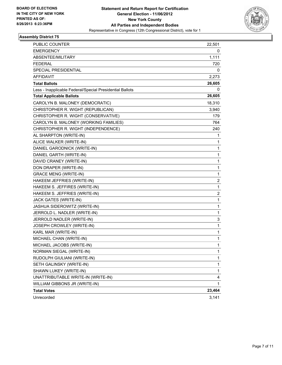

| <b>PUBLIC COUNTER</b>                                    | 22,501                  |
|----------------------------------------------------------|-------------------------|
| EMERGENCY                                                | 0                       |
| ABSENTEE/MILITARY                                        | 1,111                   |
| FEDERAL                                                  | 720                     |
| SPECIAL PRESIDENTIAL                                     | 0                       |
| <b>AFFIDAVIT</b>                                         | 2,273                   |
| <b>Total Ballots</b>                                     | 26,605                  |
| Less - Inapplicable Federal/Special Presidential Ballots | 0                       |
| <b>Total Applicable Ballots</b>                          | 26,605                  |
| CAROLYN B. MALONEY (DEMOCRATIC)                          | 18,310                  |
| CHRISTOPHER R. WIGHT (REPUBLICAN)                        | 3,940                   |
| CHRISTOPHER R. WIGHT (CONSERVATIVE)                      | 179                     |
| CAROLYN B. MALONEY (WORKING FAMILIES)                    | 764                     |
| CHRISTOPHER R. WIGHT (INDEPENDENCE)                      | 240                     |
| AL SHARPTON (WRITE-IN)                                   | 1                       |
| ALICE WALKER (WRITE-IN)                                  | 1                       |
| DANIEL GARODNICK (WRITE-IN)                              | 1                       |
| DANIEL GARTH (WRITE-IN)                                  | 1                       |
| DAVID CRANEY (WRITE-IN)                                  | 1                       |
| DON DRAPER (WRITE-IN)                                    | 1                       |
| <b>GRACE MENG (WRITE-IN)</b>                             | 1                       |
| HAKEEM JEFFRIES (WRITE-IN)                               | $\overline{\mathbf{c}}$ |
| HAKEEM S. JEFFIRES (WRITE-IN)                            | 1                       |
| HAKEEM S. JEFFRIES (WRITE-IN)                            | 2                       |
| JACK GATES (WRITE-IN)                                    | 1                       |
| JASHUA SIDEROWITZ (WRITE-IN)                             | 1                       |
| JERROLD L. NADLER (WRITE-IN)                             | 1                       |
| JERROLD NADLER (WRITE-IN)                                | 3                       |
| JOSEPH CROWLEY (WRITE-IN)                                | 1                       |
| KARL MAR (WRITE-IN)                                      | 1                       |
| MICHAEL CHAN (WRITE-IN)                                  | 1                       |
| MICHAEL JACOBS (WRITE-IN)                                | 1                       |
| NORMAN SIEGAL (WRITE-IN)                                 | 1                       |
| RUDOLPH GIULIANI (WRITE-IN)                              | 1                       |
| SETH GALINSKY (WRITE-IN)                                 | 1                       |
| SHAWN LUKEY (WRITE-IN)                                   | 1                       |
| UNATTRIBUTABLE WRITE-IN (WRITE-IN)                       | 4                       |
| WILLIAM GIBBONS JR (WRITE-IN)                            | 1                       |
| <b>Total Votes</b>                                       | 23,464                  |
| Unrecorded                                               | 3,141                   |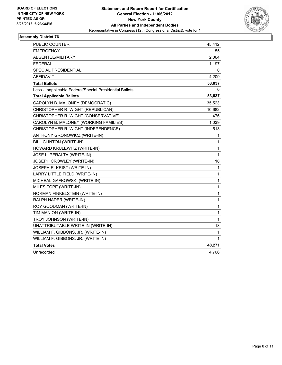

| PUBLIC COUNTER                                           | 45,412 |
|----------------------------------------------------------|--------|
| <b>EMERGENCY</b>                                         | 155    |
| ABSENTEE/MILITARY                                        | 2,064  |
| <b>FEDERAL</b>                                           | 1,197  |
| SPECIAL PRESIDENTIAL                                     | 0      |
| <b>AFFIDAVIT</b>                                         | 4,209  |
| <b>Total Ballots</b>                                     | 53,037 |
| Less - Inapplicable Federal/Special Presidential Ballots | 0      |
| <b>Total Applicable Ballots</b>                          | 53,037 |
| CAROLYN B. MALONEY (DEMOCRATIC)                          | 35,523 |
| CHRISTOPHER R. WIGHT (REPUBLICAN)                        | 10,682 |
| CHRISTOPHER R. WIGHT (CONSERVATIVE)                      | 476    |
| CAROLYN B. MALONEY (WORKING FAMILIES)                    | 1,039  |
| CHRISTOPHER R. WIGHT (INDEPENDENCE)                      | 513    |
| ANTHONY GRONOWICZ (WRITE-IN)                             | 1      |
| <b>BILL CLINTON (WRITE-IN)</b>                           | 1      |
| HOWARD KRULEWITZ (WRITE-IN)                              | 1      |
| JOSE L. PERALTA (WRITE-IN)                               | 1      |
| JOSEPH CROWLEY (WRITE-IN)                                | 10     |
| JOSEPH R. KRIST (WRITE-IN)                               | 1      |
| LARRY LITTLE FIELD (WRITE-IN)                            | 1      |
| MICHEAL GAFKOWSKI (WRITE-IN)                             | 1      |
| MILES TOPE (WRITE-IN)                                    | 1      |
| NORMAN FINKELSTEIN (WRITE-IN)                            | 1      |
| RALPH NADER (WRITE-IN)                                   | 1      |
| ROY GOODMAN (WRITE-IN)                                   | 1      |
| TIM MANION (WRITE-IN)                                    | 1      |
| TROY JOHNSON (WRITE-IN)                                  | 1      |
| UNATTRIBUTABLE WRITE-IN (WRITE-IN)                       | 13     |
| WILLIAM F. GIBBONS, JR. (WRITE-IN)                       | 1      |
| WILLIAM F. GIBBONS. JR. (WRITE-IN)                       | 1      |
| <b>Total Votes</b>                                       | 48,271 |
| Unrecorded                                               | 4,766  |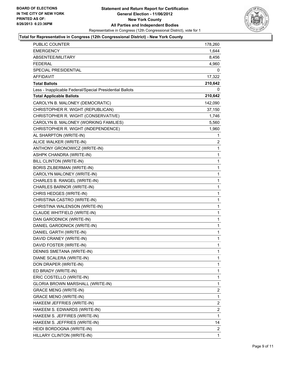

#### **Total for Representative in Congress (12th Congressional District) - New York County**

| <b>PUBLIC COUNTER</b>                                    | 178,260        |
|----------------------------------------------------------|----------------|
| <b>EMERGENCY</b>                                         | 1,644          |
| ABSENTEE/MILITARY                                        | 8,456          |
| <b>FEDERAL</b>                                           | 4,960          |
| <b>SPECIAL PRESIDENTIAL</b>                              | 0              |
| AFFIDAVIT                                                | 17,322         |
| <b>Total Ballots</b>                                     | 210,642        |
| Less - Inapplicable Federal/Special Presidential Ballots | 0              |
| <b>Total Applicable Ballots</b>                          | 210,642        |
| CAROLYN B. MALONEY (DEMOCRATIC)                          | 142,090        |
| CHRISTOPHER R. WIGHT (REPUBLICAN)                        | 37,150         |
| CHRISTOPHER R. WIGHT (CONSERVATIVE)                      | 1,746          |
| CAROLYN B. MALONEY (WORKING FAMILIES)                    | 5,560          |
| CHRISTOPHER R. WIGHT (INDEPENDENCE)                      | 1,960          |
| AL SHARPTON (WRITE-IN)                                   | 1              |
| ALICE WALKER (WRITE-IN)                                  | $\overline{2}$ |
| ANTHONY GRONOWICZ (WRITE-IN)                             | 1              |
| ASHPK CHANDRA (WRITE-IN)                                 | 1              |
| <b>BILL CLINTON (WRITE-IN)</b>                           | 1              |
| <b>BORIS ZILBERMAN (WRITE-IN)</b>                        | 1              |
| CAROLYN MALONEY (WRITE-IN)                               | 1              |
| CHARLES B. RANGEL (WRITE-IN)                             | $\mathbf{1}$   |
| CHARLES BARNOR (WRITE-IN)                                | 1              |
| CHRIS HEDGES (WRITE-IN)                                  | 1              |
| CHRISTINA CASTRO (WRITE-IN)                              | 1              |
| CHRISTINA WALENSON (WRITE-IN)                            | 1              |
| CLAUDE WHITFIELD (WRITE-IN)                              | 1              |
| DAN GARODNICK (WRITE-IN)                                 | $\mathbf{1}$   |
| DANIEL GARODNICK (WRITE-IN)                              | 1              |
| DANIEL GARTH (WRITE-IN)                                  | $\mathbf 1$    |
| DAVID CRANEY (WRITE-IN)                                  | $\mathbf 1$    |
| DAVID FOSTER (WRITE-IN)                                  | $\mathbf{1}$   |
| DENNIS SMETANA (WRITE-IN)                                | 1              |
| DIANE SCALERA (WRITE-IN)                                 | 1              |
| DON DRAPER (WRITE-IN)                                    | 1              |
| ED BRADY (WRITE-IN)                                      | 1              |
| ERIC COSTELLO (WRITE-IN)                                 | 1              |
| GLORIA BROWN MARSHALL (WRITE-IN)                         | 1              |
| <b>GRACE MENG (WRITE-IN)</b>                             | 2              |
| <b>GRACE MENO (WRITE-IN)</b>                             | 1              |
| HAKEEM JEFFRIES (WRITE-IN)                               | 2              |
| HAKEEM S. EDWARDS (WRITE-IN)                             | 2              |
| HAKEEM S. JEFFIRES (WRITE-IN)                            | 1              |
| HAKEEM S. JEFFRIES (WRITE-IN)                            | 14             |
| HEIDI BORDOGNA (WRITE-IN)                                | 2              |
| HILLARY CLINTON (WRITE-IN)                               | 1              |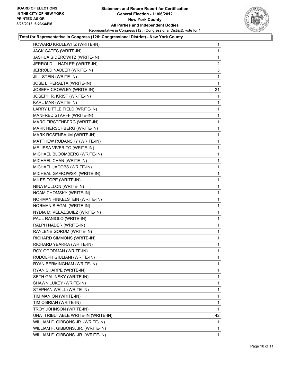

## **Total for Representative in Congress (12th Congressional District) - New York County**

| HOWARD KRULEWITZ (WRITE-IN)        | $\mathbf 1$    |
|------------------------------------|----------------|
| JACK GATES (WRITE-IN)              | 1              |
| JASHUA SIDEROWITZ (WRITE-IN)       | 1              |
| JERROLD L. NADLER (WRITE-IN)       | $\overline{2}$ |
| JERROLD NADLER (WRITE-IN)          | 3              |
| JILL STEIN (WRITE-IN)              | 1              |
| JOSE L. PERALTA (WRITE-IN)         | 1              |
| JOSEPH CROWLEY (WRITE-IN)          | 21             |
| JOSEPH R. KRIST (WRITE-IN)         | 1              |
| KARL MAR (WRITE-IN)                | 1              |
| LARRY LITTLE FIELD (WRITE-IN)      | 1              |
| MANFRED STAPFF (WRITE-IN)          | 1              |
| MARC FIRSTENBERG (WRITE-IN)        | 1              |
| MARK HERSCHBERG (WRITE-IN)         | 1              |
| MARK ROSENBAUM (WRITE-IN)          | 1              |
| MATTHEW RUDANSKY (WRITE-IN)        | 1              |
| MELISSA VIVERITO (WRITE-IN)        | 1              |
| MICHAEL BLOOMBERG (WRITE-IN)       | 1              |
| MICHAEL CHAN (WRITE-IN)            | 1              |
| MICHAEL JACOBS (WRITE-IN)          | 1              |
| MICHEAL GAFKOWSKI (WRITE-IN)       | 1              |
| MILES TOPE (WRITE-IN)              | 1              |
| NINA MULLON (WRITE-IN)             | 1              |
| NOAM CHOMSKY (WRITE-IN)            | 1              |
| NORMAN FINKELSTEIN (WRITE-IN)      | 1              |
| NORMAN SIEGAL (WRITE-IN)           | 1              |
| NYDIA M. VELAZQUIEZ (WRITE-IN)     | 1              |
| PAUL RANIOLO (WRITE-IN)            | 1              |
| RALPH NADER (WRITE-IN)             | 1              |
| RAYLENE GORUM (WRITE-IN)           | 1              |
| RICHARD SIMMONS (WRITE-IN)         | 1              |
| RICHARD YBARRA (WRITE-IN)          | 1              |
| ROY GOODMAN (WRITE-IN)             | 1              |
| RUDOLPH GIULIANI (WRITE-IN)        | 1              |
| RYAN BERMINGHAM (WRITE-IN)         | 1              |
| RYAN SHARPE (WRITE-IN)             | 1              |
| SETH GALINSKY (WRITE-IN)           | 1              |
| SHAWN LUKEY (WRITE-IN)             | 1              |
| STEPHAN WEILL (WRITE-IN)           | 1              |
| TIM MANION (WRITE-IN)              | 1              |
| TIM O'BRIAN (WRITE-IN)             | 1              |
| TROY JOHNSON (WRITE-IN)            | 1              |
| UNATTRIBUTABLE WRITE-IN (WRITE-IN) | 42             |
| WILLIAM F. GIBBONS JR. (WRITE-IN)  | 1              |
| WILLIAM F. GIBBONS, JR. (WRITE-IN) | 1              |
| WILLIAM F. GIBBONS. JR. (WRITE-IN) | $\mathbf 1$    |
|                                    |                |